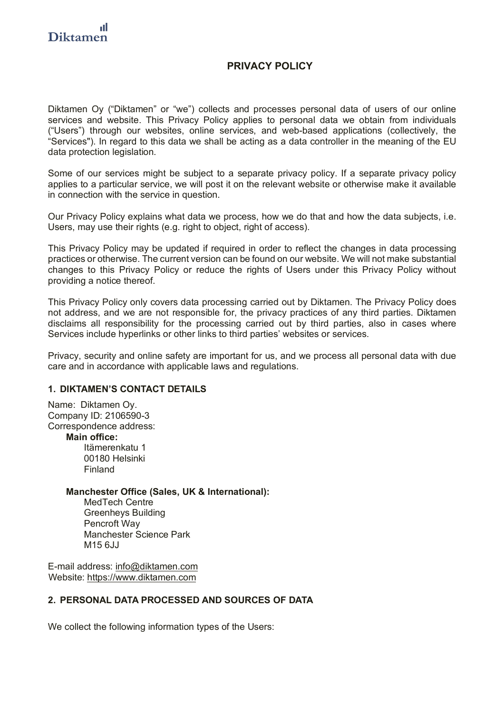# **PRIVACY POLICY**

Diktamen Oy ("Diktamen" or "we") collects and processes personal data of users of our online services and website. This Privacy Policy applies to personal data we obtain from individuals ("Users") through our websites, online services, and web-based applications (collectively, the "Services"). In regard to this data we shall be acting as a data controller in the meaning of the EU data protection legislation.

Some of our services might be subject to a separate privacy policy. If a separate privacy policy applies to a particular service, we will post it on the relevant website or otherwise make it available in connection with the service in question.

Our Privacy Policy explains what data we process, how we do that and how the data subjects, i.e. Users, may use their rights (e.g. right to object, right of access).

This Privacy Policy may be updated if required in order to reflect the changes in data processing practices or otherwise. The current version can be found on our website. We will not make substantial changes to this Privacy Policy or reduce the rights of Users under this Privacy Policy without providing a notice thereof.

This Privacy Policy only covers data processing carried out by Diktamen. The Privacy Policy does not address, and we are not responsible for, the privacy practices of any third parties. Diktamen disclaims all responsibility for the processing carried out by third parties, also in cases where Services include hyperlinks or other links to third parties' websites or services.

Privacy, security and online safety are important for us, and we process all personal data with due care and in accordance with applicable laws and regulations.

#### **1. DIKTAMEN'S CONTACT DETAILS**

Name: Diktamen Oy. Company ID: 2106590-3 Correspondence address:

**Main office:**

Itämerenkatu 1 00180 Helsinki Finland

#### **Manchester Office (Sales, UK & International):**

MedTech Centre Greenheys Building Pencroft Way Manchester Science Park M<sub>15</sub> 6.J.J

E-mail address: info@diktamen.com Website: https://www.diktamen.com

# **2. PERSONAL DATA PROCESSED AND SOURCES OF DATA**

We collect the following information types of the Users: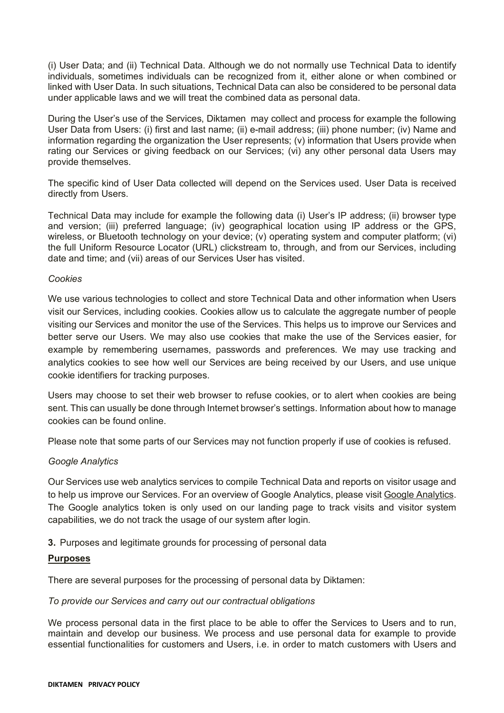(i) User Data; and (ii) Technical Data. Although we do not normally use Technical Data to identify individuals, sometimes individuals can be recognized from it, either alone or when combined or linked with User Data. In such situations, Technical Data can also be considered to be personal data under applicable laws and we will treat the combined data as personal data.

During the User's use of the Services, Diktamen may collect and process for example the following User Data from Users: (i) first and last name; (ii) e-mail address; (iii) phone number; (iv) Name and information regarding the organization the User represents; (v) information that Users provide when rating our Services or giving feedback on our Services; (vi) any other personal data Users may provide themselves.

The specific kind of User Data collected will depend on the Services used. User Data is received directly from Users.

Technical Data may include for example the following data (i) User's IP address; (ii) browser type and version; (iii) preferred language; (iv) geographical location using IP address or the GPS, wireless, or Bluetooth technology on your device; (v) operating system and computer platform; (vi) the full Uniform Resource Locator (URL) clickstream to, through, and from our Services, including date and time; and (vii) areas of our Services User has visited.

#### *Cookies*

We use various technologies to collect and store Technical Data and other information when Users visit our Services, including cookies. Cookies allow us to calculate the aggregate number of people visiting our Services and monitor the use of the Services. This helps us to improve our Services and better serve our Users. We may also use cookies that make the use of the Services easier, for example by remembering usernames, passwords and preferences. We may use tracking and analytics cookies to see how well our Services are being received by our Users, and use unique cookie identifiers for tracking purposes.

Users may choose to set their web browser to refuse cookies, or to alert when cookies are being sent. This can usually be done through Internet browser's settings. Information about how to manage cookies can be found online.

Please note that some parts of our Services may not function properly if use of cookies is refused.

## *Google Analytics*

Our Services use web analytics services to compile Technical Data and reports on visitor usage and to help us improve our Services. For an overview of Google Analytics, please visit Google Analytics. The Google analytics token is only used on our landing page to track visits and visitor system capabilities, we do not track the usage of our system after login.

**3.** Purposes and legitimate grounds for processing of personal data

## **Purposes**

There are several purposes for the processing of personal data by Diktamen:

## *To provide our Services and carry out our contractual obligations*

We process personal data in the first place to be able to offer the Services to Users and to run, maintain and develop our business. We process and use personal data for example to provide essential functionalities for customers and Users, i.e. in order to match customers with Users and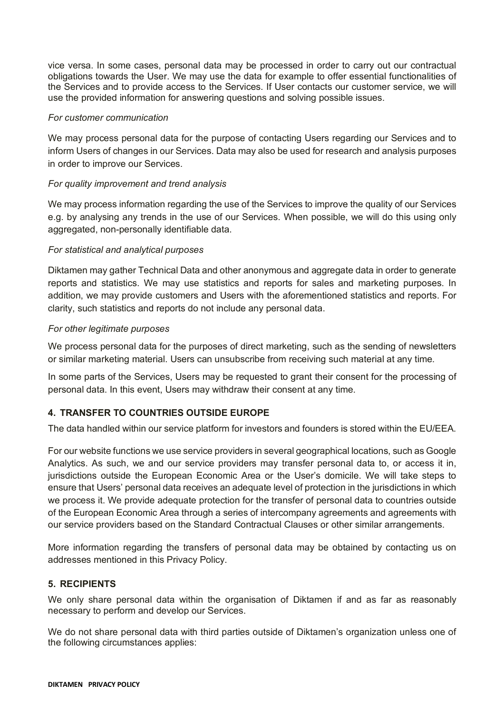vice versa. In some cases, personal data may be processed in order to carry out our contractual obligations towards the User. We may use the data for example to offer essential functionalities of the Services and to provide access to the Services. If User contacts our customer service, we will use the provided information for answering questions and solving possible issues.

## *For customer communication*

We may process personal data for the purpose of contacting Users regarding our Services and to inform Users of changes in our Services. Data may also be used for research and analysis purposes in order to improve our Services.

## *For quality improvement and trend analysis*

We may process information regarding the use of the Services to improve the quality of our Services e.g. by analysing any trends in the use of our Services. When possible, we will do this using only aggregated, non-personally identifiable data.

## *For statistical and analytical purposes*

Diktamen may gather Technical Data and other anonymous and aggregate data in order to generate reports and statistics. We may use statistics and reports for sales and marketing purposes. In addition, we may provide customers and Users with the aforementioned statistics and reports. For clarity, such statistics and reports do not include any personal data.

#### *For other legitimate purposes*

We process personal data for the purposes of direct marketing, such as the sending of newsletters or similar marketing material. Users can unsubscribe from receiving such material at any time.

In some parts of the Services, Users may be requested to grant their consent for the processing of personal data. In this event, Users may withdraw their consent at any time.

## **4. TRANSFER TO COUNTRIES OUTSIDE EUROPE**

The data handled within our service platform for investors and founders is stored within the EU/EEA.

For our website functions we use service providers in several geographical locations, such as Google Analytics. As such, we and our service providers may transfer personal data to, or access it in, jurisdictions outside the European Economic Area or the User's domicile. We will take steps to ensure that Users' personal data receives an adequate level of protection in the jurisdictions in which we process it. We provide adequate protection for the transfer of personal data to countries outside of the European Economic Area through a series of intercompany agreements and agreements with our service providers based on the Standard Contractual Clauses or other similar arrangements.

More information regarding the transfers of personal data may be obtained by contacting us on addresses mentioned in this Privacy Policy.

## **5. RECIPIENTS**

We only share personal data within the organisation of Diktamen if and as far as reasonably necessary to perform and develop our Services.

We do not share personal data with third parties outside of Diktamen's organization unless one of the following circumstances applies: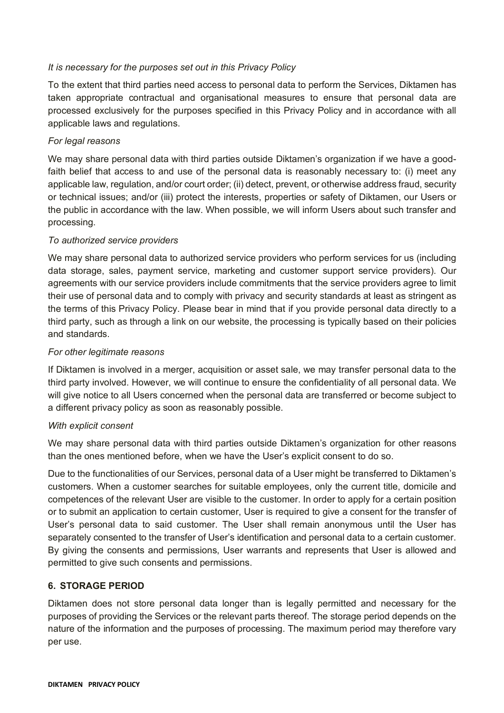# *It is necessary for the purposes set out in this Privacy Policy*

To the extent that third parties need access to personal data to perform the Services, Diktamen has taken appropriate contractual and organisational measures to ensure that personal data are processed exclusively for the purposes specified in this Privacy Policy and in accordance with all applicable laws and regulations.

# *For legal reasons*

We may share personal data with third parties outside Diktamen's organization if we have a goodfaith belief that access to and use of the personal data is reasonably necessary to: (i) meet any applicable law, regulation, and/or court order; (ii) detect, prevent, or otherwise address fraud, security or technical issues; and/or (iii) protect the interests, properties or safety of Diktamen, our Users or the public in accordance with the law. When possible, we will inform Users about such transfer and processing.

# *To authorized service providers*

We may share personal data to authorized service providers who perform services for us (including data storage, sales, payment service, marketing and customer support service providers). Our agreements with our service providers include commitments that the service providers agree to limit their use of personal data and to comply with privacy and security standards at least as stringent as the terms of this Privacy Policy. Please bear in mind that if you provide personal data directly to a third party, such as through a link on our website, the processing is typically based on their policies and standards.

# *For other legitimate reasons*

If Diktamen is involved in a merger, acquisition or asset sale, we may transfer personal data to the third party involved. However, we will continue to ensure the confidentiality of all personal data. We will give notice to all Users concerned when the personal data are transferred or become subject to a different privacy policy as soon as reasonably possible.

## *With explicit consent*

We may share personal data with third parties outside Diktamen's organization for other reasons than the ones mentioned before, when we have the User's explicit consent to do so.

Due to the functionalities of our Services, personal data of a User might be transferred to Diktamen's customers. When a customer searches for suitable employees, only the current title, domicile and competences of the relevant User are visible to the customer. In order to apply for a certain position or to submit an application to certain customer, User is required to give a consent for the transfer of User's personal data to said customer. The User shall remain anonymous until the User has separately consented to the transfer of User's identification and personal data to a certain customer. By giving the consents and permissions, User warrants and represents that User is allowed and permitted to give such consents and permissions.

# **6. STORAGE PERIOD**

Diktamen does not store personal data longer than is legally permitted and necessary for the purposes of providing the Services or the relevant parts thereof. The storage period depends on the nature of the information and the purposes of processing. The maximum period may therefore vary per use.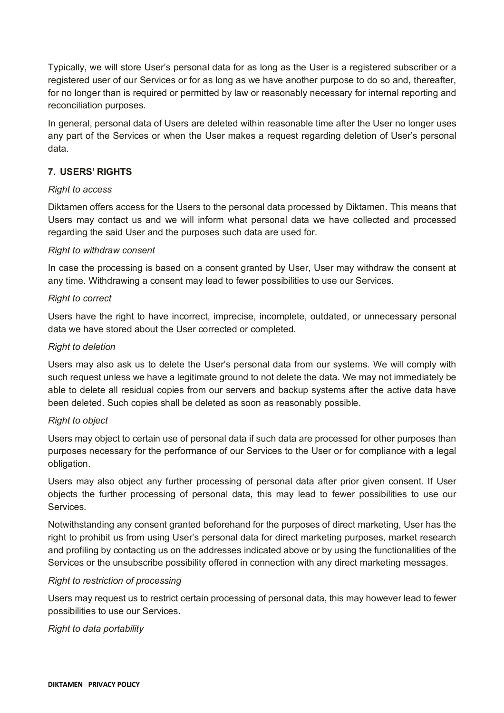Typically, we will store User's personal data for as long as the User is a registered subscriber or a registered user of our Services or for as long as we have another purpose to do so and, thereafter, for no longer than is required or permitted by law or reasonably necessary for internal reporting and reconciliation purposes.

In general, personal data of Users are deleted within reasonable time after the User no longer uses any part of the Services or when the User makes a request regarding deletion of User's personal data.

# **7. USERS' RIGHTS**

## *Right to access*

Diktamen offers access for the Users to the personal data processed by Diktamen. This means that Users may contact us and we will inform what personal data we have collected and processed regarding the said User and the purposes such data are used for.

# *Right to withdraw consent*

In case the processing is based on a consent granted by User, User may withdraw the consent at any time. Withdrawing a consent may lead to fewer possibilities to use our Services.

# *Right to correct*

Users have the right to have incorrect, imprecise, incomplete, outdated, or unnecessary personal data we have stored about the User corrected or completed.

# *Right to deletion*

Users may also ask us to delete the User's personal data from our systems. We will comply with such request unless we have a legitimate ground to not delete the data. We may not immediately be able to delete all residual copies from our servers and backup systems after the active data have been deleted. Such copies shall be deleted as soon as reasonably possible.

## *Right to object*

Users may object to certain use of personal data if such data are processed for other purposes than purposes necessary for the performance of our Services to the User or for compliance with a legal obligation.

Users may also object any further processing of personal data after prior given consent. If User objects the further processing of personal data, this may lead to fewer possibilities to use our **Services** 

Notwithstanding any consent granted beforehand for the purposes of direct marketing, User has the right to prohibit us from using User's personal data for direct marketing purposes, market research and profiling by contacting us on the addresses indicated above or by using the functionalities of the Services or the unsubscribe possibility offered in connection with any direct marketing messages.

# *Right to restriction of processing*

Users may request us to restrict certain processing of personal data, this may however lead to fewer possibilities to use our Services.

# *Right to data portability*